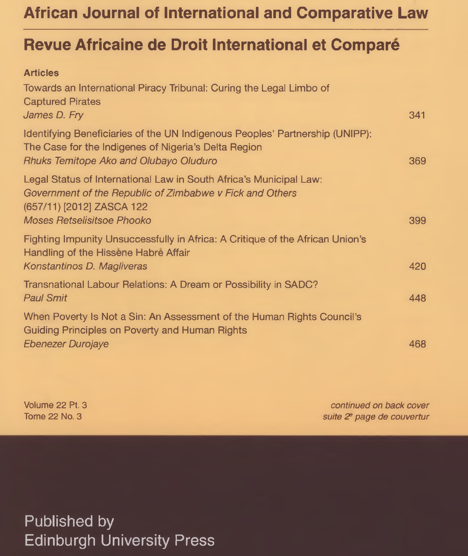# **African Journal of International and Comparative Law**

# **Revue Africaine de Droit International et Compare**

### **Articles** Towards an International Piracy Tribunal: Curing the Legal Limbo of Captured Pirates *James D. Fry* 341 Identifying Beneficiaries of the UN Indigenous Peoples' Partnership (UNIPP): The Case for the Indigenes of Nigeria's Delta Region *Rhuks Temitope Ako and Olubayo Oluduro* 369 Legal Status of International Law in South Africa's Municipal Law: *Government of the Republic of Zimbabwe v Fick and Others* (657/11) [2012] ZASCA 122 *Moses Retselisitsoe Phooko* 399 Fighting Impunity Unsuccessfully in Africa: A Critique of the African Union's Handling of the Hissene Habre Affair *Konstantinos D. Magliveras* 420 Transnational Labour Relations: A Dream or Possibility in SADC? *Paul Smit* 448 When Poverty Is Not a Sin: An Assessment of the Human Rights Council's Guiding Principles on Poverty and Human Rights *Ebenezer Durojaye* 468

Volume 22 Pt. 3 Tome 22 No. 3

*continued on back cover suite 2? page de couvertur*

Published by Edinburgh University Press